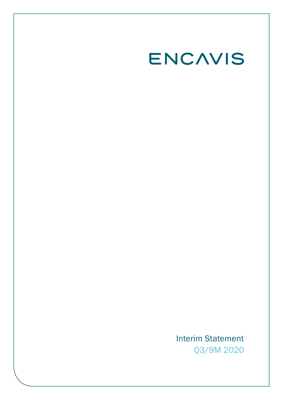# ENCAVIS

Interim Statement Q3/9M 2020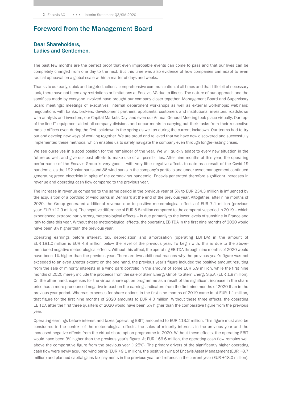# Foreword from the Management Board

#### Dear Shareholders, Ladies and Gentlemen,

The past few months are the perfect proof that even improbable events can come to pass and that our lives can be completely changed from one day to the next. But this time was also evidence of how companies can adapt to even radical upheaval on a global scale within a matter of days and weeks.

Thanks to our early, quick and targeted actions, comprehensive communication at all times and that little bit of necessary luck, there have not been any restrictions or limitations at Encavis AG due to illness. The nature of our approach and the sacrifices made by everyone involved have brought our company closer together. Management Board and Supervisory Board meetings; meetings of executives; internal department workshops as well as external workshops; webinars; negotiations with banks, brokers, development partners, applicants, customers and institutional investors; roadshows with analysts and investors; our Capital Markets Day; and even our Annual General Meeting took place virtually. Our topof-the-line IT equipment aided all company divisions and departments in carrying out their tasks from their respective mobile offices even during the first lockdown in the spring as well as during the current lockdown. Our teams had to try out and develop new ways of working together. We are proud and relieved that we have now discovered and successfully implemented these methods, which enables us to safely navigate the company even through longer-lasting crises.

We see ourselves in a good position for the remainder of the year. We will quickly adapt to every new situation in the future as well, and give our best efforts to make use of all possibilities. After nine months of this year, the operating performance of the Encavis Group is very good – with very little negative affects to date as a result of the Covid-19 pandemic, as the 192 solar parks and 86 wind parks in the company's portfolio and under asset management continued generating green electricity in spite of the coronavirus pandemic. Encavis generated therefore significant increases in revenue and operating cash flow compared to the previous year.

The increase in revenue compared to the same period in the previous year of 5% to EUR 234.3 million is influenced by the acquisition of a portfolio of wind parks in Denmark at the end of the previous year. Altogether, after nine months of 2020, the Group generated additional revenue due to positive meteorological effects of EUR 7.1 million (previous year: EUR +12.9 million). The negative difference of EUR 5.8 million compared to the comparative period in 2019 – which experienced extraordinarily strong meteorological effects – is due primarily to the lower levels of sunshine in France and Italy to date this year. Without these meteorological effects, the operating EBITDA in the first nine months of 2020 would have been 8% higher than the previous year.

Operating earnings before interest, tax, depreciation and amortisation (operating EBITDA) in the amount of EUR 181.0 million is EUR 4.8 million below the level of the previous year. To begin with, this is due to the abovementioned negative meteorological effects. Without this effect, the operating EBITDA through nine months of 2020 would have been 1% higher than the previous year. There are two additional reasons why the previous year's figure was not exceeded to an even greater extent: on the one hand, the previous year's figure included the positive amount resulting from the sale of minority interests in a wind park portfolio in the amount of some EUR 5.9 million, while the first nine months of 2020 merely include the proceeds from the sale of Stern Energy GmbH to Stern Energy S.p.A. (EUR 1.9 million). On the other hand, expenses for the virtual share option programme as a result of the significant increase in the share price had a more pronounced negative impact on the earnings indicators from the first nine months of 2020 than in the previous-year period. Whereas expenses for share options in the first nine months of 2019 came in at EUR 1.1 million, that figure for the first nine months of 2020 amounts to EUR 4.0 million. Without these three effects, the operating EBITDA after the first three quarters of 2020 would have been 5% higher than the comparative figure from the previous year.

Operating earnings before interest and taxes (operating EBIT) amounted to EUR 113.2 million. This figure must also be considered in the context of the meteorological effects, the sales of minority interests in the previous year and the increased negative effects from the virtual share option programme in 2020. Without these effects, the operating EBIT would have been 3% higher than the previous year's figure. At EUR 166.6 million, the operating cash flow remains well above the comparative figure from the previous year (+25%). The primary drivers of the significantly higher operating cash flow were newly acquired wind parks (EUR +9.1 million), the positive swing of Encavis Asset Management (EUR +8.7 million) and planned capital gains tax payments in the previous year and refunds in the current year (EUR +18.0 million).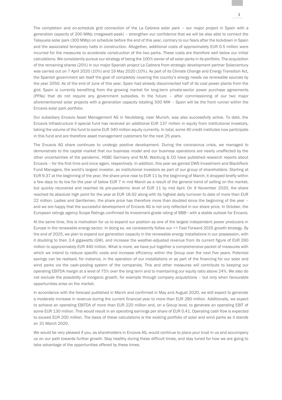The completion and on-schedule grid connection of the La Cabrera solar park – our major project in Spain with a generation capacity of 200 MWp (megawatt-peak) – strengthen our confidence that we will be also able to connect the Talayuela solar park (300 MWp) on schedule before the end of this year, contrary to our fears after the lockdown in Spain and the associated temporary halts in construction. Altogether, additional costs of approximately EUR 0.5 million were incurred for the measures to accelerate construction of the two parks. These costs are therefore well below our initial calculations. We consistently pursue our strategy of being the 100% owner of all solar parks in its portfolio. The acquisition of the remaining shares (20%) in our major Spanish project La Cabrera from strategic development partner Solarcentury was carried out on 7 April 2020 (10%) and 19 May 2020 (10%). As part of its Climate Change and Energy Transition Act, the Spanish government set itself the goal of completely covering the country's energy needs via renewable sources by the year 2050. As of the end of June of this year, Spain had already disconnected half of its coal power plants from the grid. Spain is currently benefiting from the growing market for long-term private-sector power purchase agreements (PPAs) that do not require any government subsidies. In the future – after commissioning of our two major aforementioned solar projects with a generation capacity totalling 500 MW – Spain will be the front runner within the Encavis solar park portfolio.

Our subsidiary Encavis Asset Management AG in Neubiberg, near Munich, was also successfully active. To date, the Encavis Infrastructure II special fund has received an additional EUR 137 million in equity from institutional investors, taking the volume of the fund to some EUR 340 million equity currently. In total, some 40 credit institutes now participate in this fund and are therefore asset management customers for the next 25 years.

The Encavis AG share continues to undergo positive development. During the coronavirus crisis, we managed to demonstrate to the capital market that our business model and our business operations are nearly unaffected by the other uncertainties of the pandemic. HSBC Germany and M.M. Warburg & CO have published research reports about Encavis – for the first time and once again, respectively. In addition, this year we gained DWS Investment and BlackRock Fund Managers, the world's largest investor, as institutional investors as part of our group of shareholders. Starting at EUR 9.37 at the beginning of the year, the share price rose to EUR 11 by the beginning of March; it dropped briefly within a few days to its low for the year of below EUR 7 in mid March as a result of the general trend of selling on the market, but quickly recovered and reached its pre-pandemic level of EUR 11 by mid April. On 9 November 2020, the share reached its absolute high point for the year at EUR 18.92 along with its highest daily turnover to date of more than EUR 22 million. Ladies and Gentlemen, the share price has therefore more than doubled since the beginning of the year – and we are happy that the successful development of Encavis AG is not only reflected in our share price. In October, the European ratings agency Scope Ratings confirmed its investment-grade rating of BBB− with a stable outlook for Encavis.

At the same time, this is motivation for us to expand our position as one of the largest independent power producers in Europe in the renewable energy sector. In doing so, we consistently follow our >> Fast Forward 2025 growth strategy. By the end of 2025, we plan to expand our generation capacity in the renewable energy installations in our possession, with it doubling to then 3.4 gigawatts (GW), and increase the weather-adjusted revenue from its current figure of EUR 260 million to approximately EUR 440 million. What is more, we have put together a comprehensive packet of measures with which we intend to reduce specific costs and increase efficiency within the Group over the next five years. Potential savings can be realised, for instance, in the operation of our installations or as part of the financing for our solar and wind parks via the cash-pooling system of the companies. This and other measures will contribute to keeping our operating EBITDA margin at a level of 75% over the long term and to maintaining our equity ratio above 24%. We also do not exclude the possibility of inorganic growth, for example through company acquisitions – but only when favourable opportunities arise on the market.

In accordance with the forecast published in March and confirmed in May and August 2020, we still expect to generate a moderate increase in revenue during the current financial year to more than EUR 280 million. Additionally, we expect to achieve an operating EBITDA of more than EUR 220 million and, on a Group level, to generate an operating EBIT of some EUR 130 million. This would result in an operating earnings per share of EUR 0.41. Operating cash flow is expected to exceed EUR 200 million. The basis of these calculations is the existing portfolio of solar and wind parks as it stands on 31 March 2020.

We would be very pleased if you, as shareholders in Encavis AG, would continue to place your trust in us and accompany us on our path towards further growth. Stay healthy during these difficult times, and stay tuned for how we are going to take advantage of the opportunities offered by these times.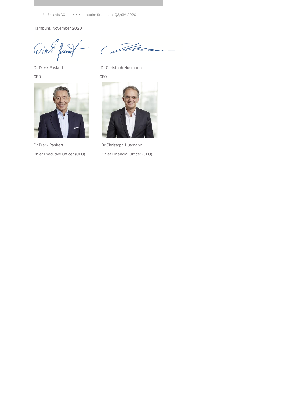4 Encavis AG **•••** Interim Statement Q3/9M 2020

Hamburg, November 2020

Vint Juny

CEO CFO



Dr Dierk Paskert Dr Christoph Husmann



Dr Dierk Paskert Dr Christoph Husmann



Chief Executive Officer (CEO) Chief Financial Officer (CFO)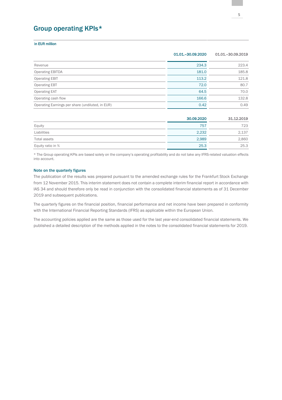# Group operating KPIs\*

#### in EUR million

|                                                  | 01.01. - 30.09.2020 | 01.01. - 30.09.2019 |  |
|--------------------------------------------------|---------------------|---------------------|--|
| Revenue                                          | 234.3               | 223.4               |  |
| <b>Operating EBITDA</b>                          | 181.0               | 185.8               |  |
| <b>Operating EBIT</b>                            | 113.2               | 121.8               |  |
| <b>Operating EBT</b>                             | 72.0                | 80.7                |  |
| <b>Operating EAT</b>                             | 64.5                | 70.0                |  |
| Operating cash flow                              | 166.6               | 132.8               |  |
| Operating Earnings per share (undiluted, in EUR) | 0.42                | 0.49                |  |
|                                                  |                     |                     |  |

|                   | 30.09.2020 | 31.12.2019 |
|-------------------|------------|------------|
| Equity            | 757        | 723        |
| Liabilities       | 2.232      | 2,137      |
| Total assets      | 2,989      | 2,860      |
| Equity ratio in % | 25.3       | 25.3       |

\* The Group operating KPIs are based solely on the company's operating profitability and do not take any IFRS-related valuation effects into account.

#### Note on the quarterly figures

The publication of the results was prepared pursuant to the amended exchange rules for the Frankfurt Stock Exchange from 12 November 2015. This interim statement does not contain a complete interim financial report in accordance with IAS 34 and should therefore only be read in conjunction with the consolidated financial statements as of 31 December 2019 and subsequent publications.

The quarterly figures on the financial position, financial performance and net income have been prepared in conformity with the International Financial Reporting Standards (IFRS) as applicable within the European Union.

The accounting policies applied are the same as those used for the last year-end consolidated financial statements. We published a detailed description of the methods applied in the notes to the consolidated financial statements for 2019.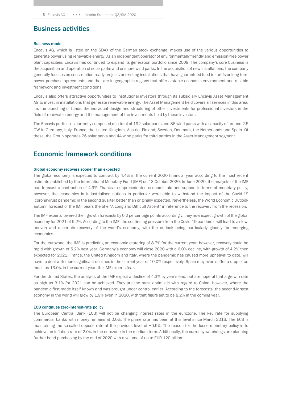### Business activities

#### Business model

Encavis AG, which is listed on the SDAX of the German stock exchange, makes use of the various opportunities to generate power using renewable energy. As an independent operator of environmentally friendly and emission-free power plant capacities, Encavis has continued to expand its generation portfolio since 2009. The company's core business is the acquisition and operation of solar parks and onshore wind parks. In the acquisition of new installations, the company generally focuses on construction-ready projects or existing installations that have guaranteed feed-in tariffs or long-term power purchase agreements and that are in geographic regions that offer a stable economic environment and reliable framework and investment conditions.

Encavis also offers attractive opportunities to institutional investors through its subsidiary Encavis Asset Management AG to invest in installations that generate renewable energy. The Asset Management field covers all services in this area, i.e. the launching of funds, the individual design and structuring of other investments for professional investors in the field of renewable energy and the management of the investments held by these investors.

The Encavis portfolio is currently comprised of a total of 192 solar parks and 86 wind parks with a capacity of around 2.5 GW in Germany, Italy, France, the United Kingdom, Austria, Finland, Sweden, Denmark, the Netherlands and Spain. Of these, the Group operates 26 solar parks and 44 wind parks for third parties in the Asset Management segment.

## Economic framework conditions

#### Global economy recovers sooner than expected

The global economy is expected to contract by 4.4% in the current 2020 financial year according to the most recent estimate published by the International Monetary Fund (IMF) on 13 October 2020. In June 2020, the analysts of the IMF had forecast a contraction of 4.9%. Thanks to unprecedented economic aid and support in terms of monetary policy, however, the economies in industrialised nations in particular were able to withstand the impact of the Covid-19 (coronavirus) pandemic in the second quarter better than originally expected. Nevertheless, the World Economic Outlook autumn forecast of the IMF bears the title "A Long and Difficult Ascent" in reference to the recovery from the recession.

The IMF experts lowered their growth forecasts by 0.2 percentage points accordingly; they now expect growth of the global economy for 2021 of 5.2%. According to the IMF, the continuing pressure from the Covid-19 pandemic will lead to a slow, uneven and uncertain recovery of the world's economy, with the outlook being particularly gloomy for emerging economies.

For the eurozone, the IMF is predicting an economic cratering of 8.7% for the current year; however, recovery could be rapid with growth of 5.2% next year. Germany's economy will close 2020 with a 6.0% decline, with growth of 4.2% then expected for 2021. France, the United Kingdom and Italy, where the pandemic has caused more upheaval to date, will have to deal with more significant declines in the current year of 10.0% respectively. Spain may even suffer a drop of as much as 13.0% in the current year, the IMF experts fear.

For the United States, the analysts of the IMF expect a decline of 4.3% by year's end, but are hopeful that a growth rate as high as 3.1% for 2021 can be achieved. They are the most optimistic with regard to China, however, where the pandemic first made itself known and was brought under control earlier. According to the forecasts, the second-largest economy in the world will grow by 1.9% even in 2020, with that figure set to be 8.2% in the coming year.

#### ECB continues zero-interest-rate policy

The European Central Bank (ECB) will not be changing interest rates in the eurozone. The key rate for supplying commercial banks with money remains at 0.0%. The prime rate has been at this level since March 2016. The ECB is maintaining the so-called deposit rate at the previous level of −0.5%. The reason for the loose monetary policy is to achieve an inflation rate of 2.0% in the eurozone in the medium term. Additionally, the currency watchdogs are planning further bond purchasing by the end of 2020 with a volume of up to EUR 120 billion.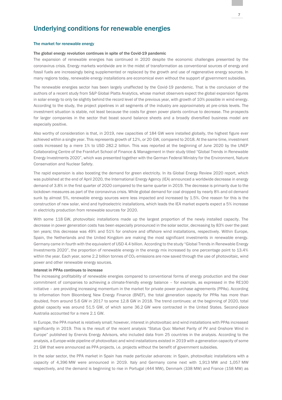### Underlying conditions for renewable energies

#### The market for renewable energy

#### The global energy revolution continues in spite of the Covid-19 pandemic

The expansion of renewable energies has continued in 2020 despite the economic challenges presented by the coronavirus crisis. Energy markets worldwide are in the midst of transformation as conventional sources of energy and fossil fuels are increasingly being supplemented or replaced by the growth and use of regenerative energy sources. In many regions today, renewable energy installations are economical even without the support of government subsidies.

The renewable energies sector has been largely unaffected by the Covid-19 pandemic. That is the conclusion of the authors of a recent study from S&P Global Platts Analytics, whose market observers expect the global expansion figures in solar energy to only be slightly behind the record level of the previous year, with growth of 10% possible in wind energy. According to the study, the project pipelines in all segments of the industry are approximately at pre-crisis levels. The investment situation is stable, not least because the costs for green power plants continue to decrease. The prospects for larger companies in the sector that boast sound balance sheets and a broadly diversified business model are especially positive.

Also worthy of consideration is that, in 2019, new capacities of 184 GW were installed globally, the highest figure ever achieved within a single year. This represents growth of 12%, or 20 GW, compared to 2018. At the same time, investment costs increased by a mere 1% to USD 282.2 billion. This was reported at the beginning of June 2020 by the UNEP Collaborating Centre of the Frankfurt School of Finance & Management in their study titled "Global Trends in Renewable Energy Investments 2020", which was presented together with the German Federal Ministry for the Environment, Nature Conservation and Nuclear Safety.

The rapid expansion is also boosting the demand for green electricity. In its Global Energy Review 2020 report, which was published at the end of April 2020, the International Energy Agency (IEA) announced a worldwide decrease in energy demand of 3.8% in the first quarter of 2020 compared to the same quarter in 2019. The decrease is primarily due to the lockdown measures as part of the coronavirus crisis. While global demand for coal dropped by nearly 8% and oil demand sunk by almost 5%, renewable energy sources were less impacted and increased by 1.5%. One reason for this is the construction of new solar, wind and hydroelectric installations, which leads the IEA market experts expect a 5% increase in electricity production from renewable sources for 2020.

With some 118 GW, photovoltaic installations made up the largest proportion of the newly installed capacity. The decrease in power generation costs has been especially pronounced in the solar sector, decreasing by 83% over the past ten years; this decrease was 49% and 51% for onshore and offshore wind installations, respectively. Within Europe, Spain, the Netherlands and the United Kingdom are making the most significant investments in renewable energy. Germany came in fourth with the equivalent of USD 4.4 billion. According to the study "Global Trends in Renewable Energy Investments 2020", the proportion of renewable energy in the energy mix increased by one percentage point to 13.4% within the year. Each year, some 2.2 billion tonnes of CO<sub>2</sub> emissions are now saved through the use of photovoltaic, wind power and other renewable energy sources.

#### Interest in PPAs continues to increase

The increasing profitability of renewable energies compared to conventional forms of energy production and the clear commitment of companies to achieving a climate-friendly energy balance – for example, as expressed in the RE100 initiative – are providing increasing momentum in the market for private power purchase agreements (PPAs). According to information from Bloomberg New Energy Finance (BNEF), the total generation capacity for PPAs has more than doubled, from around 5.6 GW in 2017 to some 12.8 GW in 2018. The trend continues: at the beginning of 2020, total global capacity was around 51.5 GW, of which some 36.2 GW were contracted in the United States. Second-place Australia accounted for a mere 2.1 GW.

In Europe, the PPA market is relatively small; however, interest in photovoltaic and wind installations with PPAs increased significantly in 2019. This is the result of the recent analysis "Status Quo: Market Parity of PV and Onshore Wind in Europe" published by Enervis Energy Advisors, who included data from 25 countries in the analysis. According to the analysis, a Europe-wide pipeline of photovoltaic and wind installations existed in 2019 with a generation capacity of some 21 GW that were announced as PPA projects, i.e. projects without the benefit of government subsidies.

In the solar sector, the PPA market in Spain has made particular advances: in Spain, photovoltaic installations with a capacity of 4,396 MW were announced in 2019. Italy and Germany come next with 1,913 MW and 1,057 MW respectively, and the demand is beginning to rise in Portugal (444 MW), Denmark (338 MW) and France (158 MW) as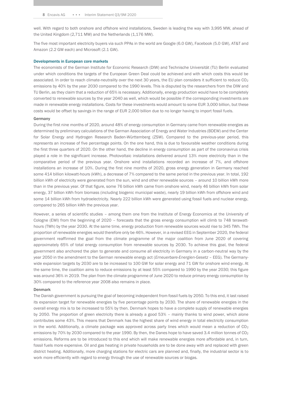well. With regard to both onshore and offshore wind installations, Sweden is leading the way with 3,995 MW, ahead of the United Kingdom (2,711 MW) and the Netherlands (1,176 MW).

The five most important electricity buyers via such PPAs in the world are Google (6.0 GW), Facebook (5.0 GW), AT&T and Amazon (2.2 GW each) and Microsoft (2.1 GW).

#### Developments in European core markets

The economists of the German Institute for Economic Research (DIW) and Technische Universität (TU) Berlin evaluated under which conditions the targets of the European Green Deal could be achieved and with which costs this would be associated. In order to reach climate-neutrality over the next 30 years, the EU plan considers it sufficient to reduce CO<sub>2</sub> emissions by 40% by the year 2030 compared to the 1990 levels. This is disputed by the researchers from the DIW and TU Berlin, as they claim that a reduction of 65% is necessary. Additionally, energy production would have to be completely converted to renewable sources by the year 2040 as well, which would be possible if the corresponding investments are made in renewable energy installations. Costs for these investments would amount to some EUR 3,000 billion, but these costs would be offset by savings in the range of EUR 2,000 billion due to no longer having to import fossil fuels.

#### Germany

During the first nine months of 2020, around 48% of energy consumption in Germany came from renewable energies as determined by preliminary calculations of the German Association of Energy and Water Industries (BDEW) and the Center for Solar Energy and Hydrogen Research Baden-Württemberg (ZSW). Compared to the previous-year period, this represents an increase of five percentage points. On the one hand, this is due to favourable weather conditions during the first three quarters of 2020. On the other hand, the decline in energy consumption as part of the coronavirus crisis played a role in the significant increase. Photovoltaic installations delivered around 13% more electricity than in the comparative period of the previous year. Onshore wind installations recorded an increase of 7%, and offshore installations an increase of 10%. During the first nine months of 2020, gross energy generation in Germany reached some 414 billion kilowatt-hours (kWh), a decrease of 7% compared to the same period in the previous year. In total, 192 billion kWh of electricity were generated from the sun, wind and other renewable sources – around 10 billion kWh more than in the previous year. Of that figure, some 76 billion kWh came from onshore wind, nearly 46 billion kWh from solar energy, 37 billion kWh from biomass (including biogenic municipal waste), nearly 19 billion kWh from offshore wind and some 14 billion kWh from hydroelectricity. Nearly 222 billion kWh were generated using fossil fuels and nuclear energy, compared to 265 billion kWh the previous year.

However, a series of scientific studies – among them one from the Institute of Energy Economics at the University of Cologne (EWI) from the beginning of 2020 – forecasts that the gross energy consumption will climb to 748 terawatthours (TWh) by the year 2030. At the same time, energy production from renewable sources would rise to 345 TWh. The proportion of renewable energies would therefore only be 46%. However, in a revised EEG in September 2020, the federal government reaffirmed the goal from the climate programme of the major coalition from June 2020 of covering approximately 65% of total energy consumption from renewable sources by 2030. To achieve this goal, the federal government also anchored the plan to generate and consume all electricity in Germany in a carbon-neutral way by the year 2050 in the amendment to the German renewable energy act (*Erneuerbare-Energien-Gesetz* – EEG). The Germanywide expansion targets by 2030 are to be increased to 100 GW for solar energy and 71 GW for onshore wind energy. At the same time, the coalition aims to reduce emissions by at least 55% compared to 1990 by the year 2030; this figure was around 36% in 2019. The plan from the climate programme of June 2020 to reduce primary energy consumption by 30% compared to the reference year 2008 also remains in place.

#### Denmark

The Danish government is pursuing the goal of becoming independent from fossil fuels by 2050. To this end, it last raised its expansion target for renewable energies by five percentage points by 2030. The share of renewable energies in the overall energy mix is to be increased to 55% by then. Denmark hopes to have a complete supply of renewable energies by 2050. The proportion of green electricity there is already a good 53% – mainly thanks to wind power, which alone contributes some 43%. This means that Denmark has the highest share of wind energy in total electricity consumption in the world. Additionally, a climate package was approved across party lines which would mean a reduction of  $CO<sub>2</sub>$ emissions by 70% by 2030 compared to the year 1990. By then, the Danes hope to have saved 3.4 million tonnes of CO<sub>2</sub> emissions. Reforms are to be introduced to this end which will make renewable energies more affordable and, in turn, fossil fuels more expensive. Oil and gas heating in private households are to be done away with and replaced with green district heating. Additionally, more charging stations for electric cars are planned and, finally, the industrial sector is to work more efficiently with regard to energy through the use of renewable sources or biogas.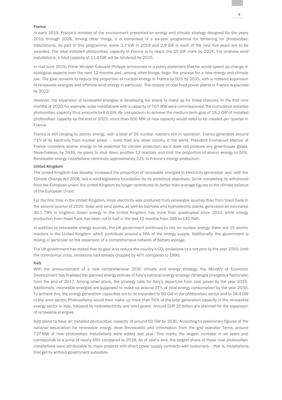#### France

In early 2019, France's minister of the environment presented an energy and climate strategy designed for the years 2019 through 2028. Among other things, it is comprised of a six-year programme for tendering for photovoltaic installations. As part of this programme, some 2.7 GW in 2019 and 2.9 GW in each of the next five years are to be awarded. The total installed photovoltaic capacity in France is to reach the 20 GW mark by 2024. For onshore wind installations, a total capacity of 11.4 GW will be tendered by 2025.

In mid June 2019, Prime Minister Édouard Philippe announced in a policy statement that he would speed up change in ecological aspects over the next 12 months and, among other things, begin the process for a new energy and climate law. The goal remains to reduce the proportion of nuclear energy in France to 50% by 2035, with a massive expansion of renewable energies and offshore wind energy in particular. The closure of coal-fired power plants in France is planned by 2022.

However, the expansion of renewable energies is developing too slowly to make up for these closures. In the first nine months of 2020, for example, solar installations with a capacity of 707 MW were commissioned; the cumulative installed photovoltaic capacity thus amounts to 9.6 GW. By comparison, to achieve the medium-term goal of 18.2 GW of installed photovoltaic capacity by the end of 2023, more than 500 MW of new capacity would need to be created per quarter in France.

France is still clinging to atomic energy, with a total of 56 nuclear reactors still in operation. France generates around 71% of its electricity from nuclear power – more than any other country in the world. President Emmanuel Macron of France considers atomic energy to be essential for climate protection, as it does not produce any greenhouse gases. Nevertheless, by 2035, he plans to shut down another 12 reactors and limit the proportion of atomic energy to 50%. Renewable energy installations contribute approximately 22% to France's energy production.

#### United Kingdom

The United Kingdom has steadily increased the proportion of renewable energies in electricity generation and, with the Climate Change Act 2008, laid a solid legislative foundation for its ambitious objectives. Since completing its withdrawal from the European Union, the United Kingdom no longer contributes its better-than-average figures to the climate balance of the European Union.

For the first time in the United Kingdom, more electricity was produced from renewable sources than from fossil fuels in the second quarter of 2020. Solar and wind parks, as well as biomass and hydroelectric plants, generated an estimated 30.1 TWh in England. Green energy in the United Kingdom has more than quadrupled since 2010, while energy production from fossil fuels has been cut in half in the last 12 months from 288 to 142 TWh.

In addition to renewable energy sources, the UK government continues to rely on nuclear energy: there are 15 atomic reactors in the United Kingdom which contribute around a fifth of the energy supply. Additionally, the government is relying in particular on the expansion of a comprehensive network of battery storage.

The UK government has stated that its goal is to reduce the country's CO<sub>2</sub> emissions to a net zero by the year 2050. Until the coronavirus crisis, emissions had already dropped by 40% compared to 1990.

#### Italy

With the announcement of a new comprehensive 2030 climate and energy strategy, the Ministry of Economic Development has finalised the planned energy policies of Italy's national energy strategy (*Strategia Energetica Nazionale*) from the end of 2017. Among other plans, the strategy calls for Italy's departure from coal power by the year 2025. Additionally, renewable energies are supposed to make up around 27% of total energy consumption by the year 2030. To achieve this, the energy generation capacities are to be expanded to 50 GW in the photovoltaic sector and to 18.4 GW in the wind sector. Photovoltaics would then make up more than 50% of the total generation capacity in the renewable energy sector in Italy, followed by hydroelectricity and wind power. Around EUR 35 billion are planned for the expansion of renewable energies.

Italy plans to have an installed photovoltaic capacity of around 50 GW by 2030. According to preliminary figures of the national association for renewable energy (Anie Rinnovabili) and information from the grid operator Terna, around 737 MW of new photovoltaic installations were added last year. This marks the largest increase in six years and corresponds to a jump of nearly 69% compared to 2018. As of year's end, the largest share of these new photovoltaic installations were attributable to major projects with direct power supply contracts with customers – that is, installations that get by without government subsidies.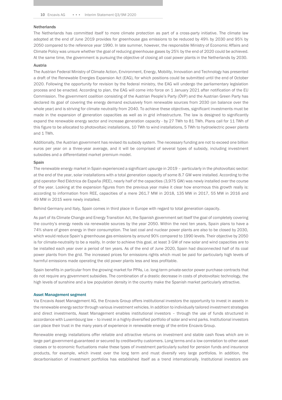#### **Netherlands**

The Netherlands has committed itself to more climate protection as part of a cross-party initiative. The climate law adopted at the end of June 2019 provides for greenhouse gas emissions to be reduced by 49% by 2030 and 95% by 2050 compared to the reference year 1990. In late summer, however, the responsible Ministry of Economic Affairs and Climate Policy was unsure whether the goal of reducing greenhouse gases by 25% by the end of 2020 could be achieved. At the same time, the government is pursuing the objective of closing all coal power plants in the Netherlands by 2030.

#### Austria

The Austrian Federal Ministry of Climate Action, Environment, Energy, Mobility, Innovation and Technology has presented a draft of the Renewable Energies Expansion Act (EAG), for which positions could be submitted until the end of October 2020. Following the opportunity for revision by the federal ministry, the EAG will undergo the parliamentary legislation process and be enacted. According to plan, the EAG will come into force on 1 January 2021 after notification of the EU Commission. The government coalition consisting of the Austrian People's Party (ÖVP) and the Austrian Green Party has declared its goal of covering the energy demand exclusively from renewable sources from 2030 (on balance over the whole year) and is striving for climate neutrality from 2040. To achieve these objectives, significant investments must be made in the expansion of generation capacities as well as in grid infrastructure. The law is designed to significantly expand the renewable energy sector and increase generation capacity - by 27 TWh to 81 TWh. Plans call for 11 TWh of this figure to be allocated to photovoltaic installations, 10 TWh to wind installations, 5 TWh to hydroelectric power plants and 1 TWh.

Additionally, the Austrian government has revised its subsidy system. The necessary funding are not to exceed one billion euros per year on a three-year average, and it will be comprised of several types of subsidy, including investment subsidies and a differentiated market premium model.

#### Spain

The renewable energy market in Spain experienced a significant upsurge in 2019 – particularly in the photovoltaic sector: at the end of the year, solar installations with a total generation capacity of some 8.7 GW were installed. According to the grid operator Red Eléctrica de España (REE), nearly half of the capacities (3,975 GW) was newly installed over the course of the year. Looking at the expansion figures from the previous year make it clear how enormous this growth really is: according to information from REE, capacities of a mere 261.7 MW in 2018, 135 MW in 2017, 55 MW in 2016 and 49 MW in 2015 were newly installed.

Behind Germany and Italy, Spain comes in third place in Europe with regard to total generation capacity.

As part of its Climate Change and Energy Transition Act, the Spanish government set itself the goal of completely covering the country's energy needs via renewable sources by the year 2050. Within the next ten years, Spain plans to have a 74% share of green energy in their consumption. The last coal and nuclear power plants are also to be closed by 2030, which would reduce Spain's greenhouse gas emissions by around 90% compared to 1990 levels. Their objective by 2050 is for climate-neutrality to be a reality. In order to achieve this goal, at least 3 GW of new solar and wind capacities are to be installed each year over a period of ten years. As of the end of June 2020, Spain had disconnected half of its coal power plants from the grid. The increased prices for emissions rights which must be paid for particularly high levels of harmful emissions made operating the old power plants less and less profitable.

Spain benefits in particular from the growing market for PPAs, i.e. long-term private-sector power purchase contracts that do not require any government subsidies. The combination of a drastic decrease in costs of photovoltaic technology, the high levels of sunshine and a low population density in the country make the Spanish market particularly attractive.

#### Asset Management segment

Via Encavis Asset Management AG, the Encavis Group offers institutional investors the opportunity to invest in assets in the renewable energy sector through various investment vehicles. In addition to individually tailored investment strategies and direct investments, Asset Management enables institutional investors – through the use of funds structured in accordance with Luxembourg law – to invest in a highly diversified portfolio of solar and wind parks. Institutional investors can place their trust in the many years of experience in renewable energy of the entire Encavis Group.

Renewable energy installations offer reliable and attractive returns on investment and stable cash flows which are in large part government-guaranteed or secured by creditworthy customers. Long terms and a low correlation to other asset classes or to economic fluctuations make these types of investment particularly suited for pension funds and insurance products, for example, which invest over the long term and must diversify very large portfolios. In addition, the decarbonisation of investment portfolios has established itself as a trend internationally. Institutional investors are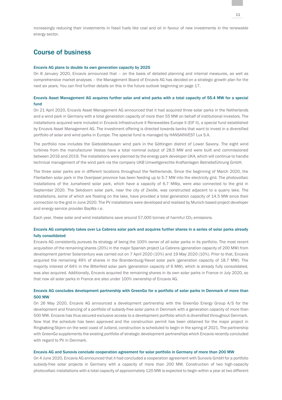# Course of business

#### Encavis AG plans to double its own generation capacity by 2025

On 8 January 2020, Encavis announced that – on the basis of detailed planning and internal measures, as well as comprehensive market analyses – the Management Board of Encavis AG has decided on a strategic growth plan for the next six years. You can find further details on this in the future outlook beginning on page 17.

#### Encavis Asset Management AG acquires further solar and wind parks with a total capacity of 55.4 MW for a special fund

On 21 April 2020, Encavis Asset Management AG announced that it had acquired three solar parks in the Netherlands and a wind park in Germany with a total generation capacity of more than 55 MW on behalf of institutional investors. The installations acquired were included in Encavis Infrastructure II Renewables Europe II (EIF II), a special fund established by Encavis Asset Management AG. The investment offering is directed towards banks that want to invest in a diversified portfolio of solar and wind parks in Europe. The special fund is managed by HANSAINVEST Lux S.A.

The portfolio now includes the Gieboldehausen wind park in the Göttingen district of Lower Saxony. The eight wind turbines from the manufacturer Vestas have a total nominal output of 28.5 MW and were built and commissioned between 2016 and 2019. The installations were planned by the energy park developer UKA, which will continue to handle technical management of the wind park via the company UKB Umweltgerechte Kraftanlagen Betriebsführung GmbH.

The three solar parks are in different locations throughout the Netherlands. Since the beginning of March 2020, the Flierbelten solar park in the Overijssel province has been feeding up to 5.7 MW into the electricity grid. The photovoltaic installations of the Jumaheerd solar park, which have a capacity of 6.7 MWp, were also connected to the grid in September 2020. The Sekdoorn solar park, near the city of Zwolle, was constructed adjacent to a quarry lake. The installations, some of which are floating on the lake, have provided a total generation capacity of 14.5 MW since their connection to the grid in June 2020. The PV installations were developed and realised by Munich-based project developer and energy service provider BayWa r.e.

Each year, these solar and wind installations save around 57,000 tonnes of harmful CO<sub>2</sub> emissions.

#### Encavis AG completely takes over La Cabrera solar park and acquires further shares in a series of solar parks already fully consolidated

Encavis AG consistently pursues its strategy of being the 100% owner of all solar parks in its portfolio. The most recent acquisition of the remaining shares (20%) in the major Spanish project La Cabrera (generation capacity of 200 MW) from development partner Solarcentury was carried out on 7 April 2020 (10%) and 19 May 2020 (10%). Prior to that, Encavis acquired the remaining 49% of shares in the Brandenburg/Havel solar park (generation capacity of 18.7 MW). The majority interest of 64% in the Bitterfeld solar park (generation capacity of 6 MW), which is already fully consolidated, was also acquired. Additionally, Encavis acquired the remaining shares in its own solar parks in France in July 2020, so that now all solar parks in France are also under 100% ownership of Encavis AG.

#### Encavis AG concludes development partnership with GreenGo for a portfolio of solar parks in Denmark of more than 500 MW

On 26 May 2020, Encavis AG announced a development partnership with the GreenGo Energy Group A/S for the development and financing of a portfolio of subsidy-free solar parks in Denmark with a generation capacity of more than 500 MW. Encavis has thus secured exclusive access to a development portfolio which is diversified throughout Denmark. Now that the schedule has been approved and the construction permit has been obtained for the major project in Ringkøbing-Skjern on the west coast of Jutland, construction is scheduled to begin in the spring of 2021. The partnership with GreenGo supplements the existing portfolio of strategic development partnerships which Encavis recently concluded with regard to PV in Denmark.

#### Encavis AG and Sunovis conclude cooperation agreement for solar portfolio in Germany of more than 200 MW

On 4 June 2020, Encavis AG announced that it had concluded a cooperation agreement with Sunovis GmbH for a portfolio subsidy-free solar projects in Germany with a capacity of more than 200 MW. Construction of two high-capacity photovoltaic installations with a total capacity of approximately 120 MW is expected to begin within a year at two different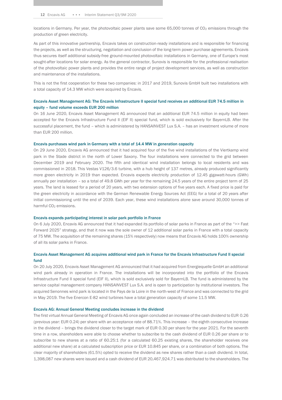locations in Germany. Per year, the photovoltaic power plants save some  $65,000$  tonnes of  $CO<sub>2</sub>$  emissions through the production of green electricity.

As part of this innovative partnership, Encavis takes on construction-ready installations and is responsible for financing the projects, as well as the structuring, negotiation and conclusion of the long-term power purchase agreements. Encavis thus secures itself additional subsidy-free ground-mounted photovoltaic installations in Germany, one of Europe's most sought-after locations for solar energy. As the general contractor, Sunovis is responsible for the professional realisation of the photovoltaic power plants and provides the entire range of project development services, as well as construction and maintenance of the installations.

This is not the first cooperation for these two companies: in 2017 and 2019, Sunovis GmbH built two installations with a total capacity of 14.3 MW which were acquired by Encavis.

#### Encavis Asset Management AG: The Encavis Infrastructure II special fund receives an additional EUR 74.5 million in equity – fund volume exceeds EUR 200 million

On 16 June 2020, Encavis Asset Management AG announced that an additional EUR 74.5 million in equity had been accepted for the Encavis Infrastructure Fund II (EIF II) special fund, which is sold exclusively for BayernLB. After the successful placement, the fund – which is administered by HANSAINVEST Lux S.A. – has an investment volume of more than EUR 200 million.

#### Encavis purchases wind park in Germany with a total of 14.4 MW in generation capacity

On 29 June 2020, Encavis AG announced that it had acquired four of the five wind installations of the Viertkamp wind park in the Stade district in the north of Lower Saxony. The four installations were connected to the grid between December 2019 and February 2020. The fifth and identical wind installation belongs to local residents and was commissioned in 2018. This Vestas V126/3.6 turbine, with a hub height of 137 metres, already produced significantly more green electricity in 2019 than expected. Encavis expects electricity production of 12.45 gigawatt-hours (GWh) annually per installation – so a total of 49.8 GWh per year for the remaining 24.5 years of the entire project term of 25 years. The land is leased for a period of 20 years, with two extension options of five years each. A fixed price is paid for the green electricity in accordance with the German Renewable Energy Sources Act (EEG) for a total of 20 years after initial commissioning until the end of 2039. Each year, these wind installations alone save around 30,000 tonnes of harmful CO<sub>2</sub> emissions.

#### Encavis expands participating interest in solar park portfolio in France

On 6 July 2020, Encavis AG announced that it had expanded its portfolio of solar parks in France as part of the ">> Fast Forward 2025" strategy, and that it now was the sole owner of 12 additional solar parks in France with a total capacity of 75 MW. The acquisition of the remaining shares (15% respectively) now means that Encavis AG holds 100% ownership of all its solar parks in France.

#### Encavis Asset Management AG acquires additional wind park in France for the Encavis Infrastructure Fund II special fund

On 20 July 2020, Encavis Asset Management AG announced that it had acquired from Energiequelle GmbH an additional wind park already in operation in France. The installations will be incorporated into the portfolio of the Encavis Infrastructure Fund II special fund (EIF II), which is sold exclusively sold for BayernLB. The fund is administered by the service capital management company HANSAINVEST Lux S.A. and is open to participation by institutional investors. The acquired Senonnes wind park is located in the Pays de la Loire in the north-west of France and was connected to the grid in May 2019. The five Enercon E-82 wind turbines have a total generation capacity of some 11.5 MW.

#### Encavis AG: Annual General Meeting concludes increase in the dividend

The first virtual Annual General Meeting of Encavis AG once again concluded an increase of the cash dividend to EUR 0.26 (previous year: EUR 0.24) per share with an acceptance rate of 88.71%. This increase – the eighth consecutive increase in the dividend – brings the dividend closer to the target mark of EUR 0.30 per share for the year 2021. For the seventh time in a row, shareholders were able to choose whether to subscribe to the cash dividend of EUR 0.26 per share or to subscribe to new shares at a ratio of 60.25:1 (for a calculated 60.25 existing shares, the shareholder receives one additional new share) at a calculated subscription price or EUR 10.845 per share, or a combination of both options. The clear majority of shareholders (61.5%) opted to receive the dividend as new shares rather than a cash dividend. In total, 1,398,087 new shares were issued and a cash dividend of EUR 20,467,924.71 was distributed to the shareholders. The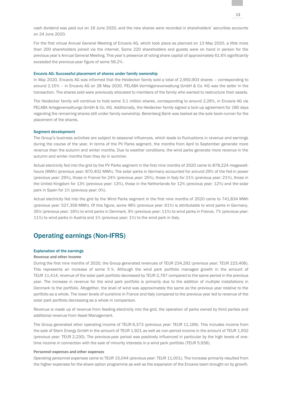cash dividend was paid out on 16 June 2020, and the new shares were recorded in shareholders' securities accounts on 24 June 2020.

For the first virtual Annual General Meeting of Encavis AG, which took place as planned on 13 May 2020, a little more than 200 shareholders joined via the internet. Some 220 shareholders and guests were on hand in person for the previous year's Annual General Meeting. This year's presence of voting share capital of approximately 61.6% significantly exceeded the previous-year figure of some 56.2%.

#### Encavis AG: Successful placement of shares under family ownership

In May 2020, Encavis AG was informed that the Heidecker family sold a total of 2,950,903 shares – corresponding to around 2.15% – in Encavis AG on 28 May 2020. PELABA Vermögensverwaltung GmbH & Co. KG was the seller in the transaction. The shares sold were previously allocated to members of the family who wanted to restructure their assets.

The Heidecker family will continue to hold some 3.1 million shares, corresponding to around 2.26%, in Encavis AG via PELABA Anlageverwaltungs GmbH & Co. KG. Additionally, the Heidecker family signed a lock-up agreement for 180 days regarding the remaining shares still under family ownership. Berenberg Bank was tasked as the sole book-runner for the placement of the shares.

#### Segment development

The Group's business activities are subject to seasonal influences, which leads to fluctuations in revenue and earnings during the course of the year. In terms of the PV Parks segment, the months from April to September generate more revenue than the autumn and winter months. Due to weather conditions, the wind parks generate more revenue in the autumn and winter months than they do in summer.

Actual electricity fed into the grid by the PV Parks segment in the first nine months of 2020 came to 878,224 megawatthours (MWh) (previous year: 870,402 MWh). The solar parks in Germany accounted for around 29% of the fed-in power (previous year: 29%), those in France for 24% (previous year: 25%), those in Italy for 21% (previous year: 21%), those in the United Kingdom for 13% (previous year: 13%), those in the Netherlands for 12% (previous year: 12%) and the solar park in Spain for 1% (previous year: 0%).

Actual electricity fed into the grid by the Wind Parks segment in the first nine months of 2020 came to 741,834 MWh (previous year: 527,359 MWh). Of this figure, some 48% (previous year: 61%) is attributable to wind parks in Germany, 35% (previous year: 16%) to wind parks in Denmark, 9% (previous year: 11%) to wind parks in France, 7% (previous year: 11%) to wind parks in Austria and 1% (previous year: 1%) to the wind park in Italy.

### Operating earnings (Non-IFRS)

#### Explanation of the earnings

#### **Revenue and other income**

During the first nine months of 2020, the Group generated revenues of TEUR 234,292 (previous year: TEUR 223,406). This represents an increase of some 5 %. Although the wind park portfolio managed growth in the amount of TEUR 11,414, revenue of the solar park portfolio decreased by TEUR 2,767 compared to the same period in the previous year. The increase in revenue for the wind park portfolio is primarily due to the addition of multiple installations in Denmark to the portfolio. Altogether, the level of wind was approximately the same as the previous year relative to the portfolio as a whole. The lower levels of sunshine in France and Italy compared to the previous year led to revenue of the solar park portfolio decreasing as a whole in comparison.

Revenue is made up of revenue from feeding electricity into the grid, the operation of parks owned by third parties and additional revenue from Asset Management.

The Group generated other operating income of TEUR 6,373 (previous year: TEUR 11,169). This includes income from the sale of Stern Energy GmbH in the amount of TEUR 1,921 as well as non-period income in the amount of TEUR 1,502 (previous year: TEUR 2,230). The previous-year period was positively influenced in particular by the high levels of onetime income in connection with the sale of minority interests in a wind park portfolio (TEUR 5,936).

#### **Personnel expenses and other expenses**

Operating personnel expenses came to TEUR 15,044 (previous year: TEUR 11,001). The increase primarily resulted from the higher expenses for the share option programme as well as the expansion of the Encavis team brought on by growth.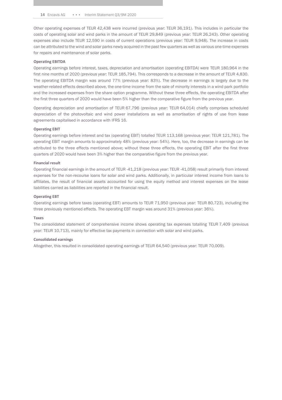Other operating expenses of TEUR 42,438 were incurred (previous year: TEUR 36,191). This includes in particular the costs of operating solar and wind parks in the amount of TEUR 29,849 (previous year: TEUR 26,243). Other operating expenses also include TEUR 12,590 in costs of current operations (previous year: TEUR 9,948). The increase in costs can be attributed to the wind and solar parks newly acquired in the past few quarters as well as various one-time expenses for repairs and maintenance of solar parks.

#### **Operating EBITDA**

Operating earnings before interest, taxes, depreciation and amortisation (operating EBITDA) were TEUR 180,964 in the first nine months of 2020 (previous year: TEUR 185,794). This corresponds to a decrease in the amount of TEUR 4,830. The operating EBITDA margin was around 77% (previous year: 83%). The decrease in earnings is largely due to the weather-related effects described above, the one-time income from the sale of minority interests in a wind park portfolio and the increased expenses from the share option programme. Without these three effects, the operating EBITDA after the first three quarters of 2020 would have been 5% higher than the comparative figure from the previous year.

Operating depreciation and amortisation of TEUR 67,796 (previous year: TEUR 64,014) chiefly comprises scheduled depreciation of the photovoltaic and wind power installations as well as amortisation of rights of use from lease agreements capitalised in accordance with IFRS 16.

#### **Operating EBIT**

Operating earnings before interest and tax (operating EBIT) totalled TEUR 113,168 (previous year: TEUR 121,781). The operating EBIT margin amounts to approximately 48% (previous year: 54%). Here, too, the decrease in earnings can be attributed to the three effects mentioned above; without these three effects, the operating EBIT after the first three quarters of 2020 would have been 3% higher than the comparative figure from the previous year.

#### **Financial result**

Operating financial earnings in the amount of TEUR -41,218 (previous year: TEUR -41,058) result primarily from interest expenses for the non-recourse loans for solar and wind parks. Additionally, in particular interest income from loans to affiliates, the result of financial assets accounted for using the equity method and interest expenses on the lease liabilities carried as liabilities are reported in the financial result.

#### **Operating EBT**

Operating earnings before taxes (operating EBT) amounts to TEUR 71,950 (previous year: TEUR 80,723), including the three previously mentioned effects. The operating EBT margin was around 31% (previous year: 36%).

#### **Taxes**

The consolidated statement of comprehensive income shows operating tax expenses totalling TEUR 7,409 (previous year: TEUR 10,713), mainly for effective tax payments in connection with solar and wind parks.

#### **Consolidated earnings**

Altogether, this resulted in consolidated operating earnings of TEUR 64,540 (previous year: TEUR 70,009).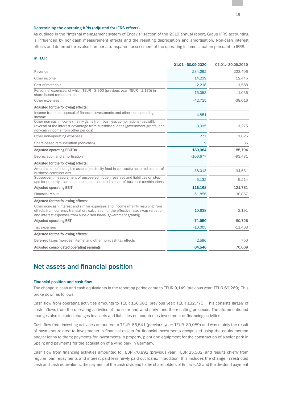#### Determining the operating KPIs (adjusted for IFRS effects)

As outlined in the "Internal management system of Encavis" section of the 2019 annual report, Group IFRS accounting is influenced by non-cash measurement effects and the resulting depreciation and amortisation. Non-cash interest effects and deferred taxes also hamper a transparent assessment of the operating income situation pursuant to IFRS.

| in TEUR                                                                                                                                                                                                                                    |                     |                     |
|--------------------------------------------------------------------------------------------------------------------------------------------------------------------------------------------------------------------------------------------|---------------------|---------------------|
|                                                                                                                                                                                                                                            | 01.01. - 30.09.2020 | 01.01. - 30.09.2019 |
| Revenue                                                                                                                                                                                                                                    | 234,292             | 223,406             |
| Other income                                                                                                                                                                                                                               | 14,239              | 12,445              |
| Cost of materials                                                                                                                                                                                                                          | $-2.218$            | $-1,588$            |
| Personnel expenses, of which TEUR -3,960 (previous year: TEUR -1,175) in<br>share-based remuneration                                                                                                                                       | $-15,053$           | $-11,036$           |
| Other expenses                                                                                                                                                                                                                             | $-42,715$           | $-38,016$           |
| Adjusted for the following effects:                                                                                                                                                                                                        |                     |                     |
| Income from the disposal of financial investments and other non-operating<br>income                                                                                                                                                        | $-4,851$            | $-1$                |
| Other non-cash income (mainly gains from business combinations [badwill],<br>reversal of the interest advantage from subsidised loans [government grants] and<br>non-cash income from other periods)                                       | $-3,015$            | $-1,275$            |
| Other non-operating expenses                                                                                                                                                                                                               | 277                 | 1,825               |
| Share-based remuneration (non-cash)                                                                                                                                                                                                        | 9                   | 35                  |
| <b>Adjusted operating EBITDA</b>                                                                                                                                                                                                           | 180,964             | 185,794             |
| Depreciation and amortisation                                                                                                                                                                                                              | $-100,677$          | $-93,431$           |
| Adjusted for the following effects:                                                                                                                                                                                                        |                     |                     |
| Amortisation of intangible assets (electricity feed-in contracts) acquired as part of<br>business combinations                                                                                                                             | 38,013              | 34,631              |
| Subsequent measurement of uncovered hidden reserves and liabilities on step-<br>ups for property, plant and equipment acquired as part of business combinations                                                                            | $-5,132$            | $-5,214$            |
| <b>Adjusted operating EBIT</b>                                                                                                                                                                                                             | 113,168             | 121,781             |
| Financial result                                                                                                                                                                                                                           | $-51,856$           | $-38,867$           |
| Adjusted for the following effects:                                                                                                                                                                                                        |                     |                     |
| Other non-cash interest and similar expenses and income (mainly resulting from<br>effects from currency translation, calculation of the effective rate, swap valuation<br>and interest expenses from subsidised loans [government grants]) | 10,638              | $-2,191$            |
| <b>Adjusted operating EBT</b>                                                                                                                                                                                                              | 71,950              | 80,723              |
| Tax expenses                                                                                                                                                                                                                               | $-10,005$           | $-11,463$           |
| Adjusted for the following effects:                                                                                                                                                                                                        |                     |                     |
| Deferred taxes (non-cash items) and other non-cash tax effects                                                                                                                                                                             | 2.596               | 750                 |
| Adjusted consolidated operating earnings                                                                                                                                                                                                   | 64,540              | 70,009              |

# Net assets and financial position

#### Financial position and cash flow

The change in cash and cash equivalents in the reporting period came to TEUR 9,149 (previous year: TEUR 69,269). This broke down as follows:

Cash flow from operating activities amounts to TEUR 166,582 (previous year: TEUR 132,775). This consists largely of cash inflows from the operating activities of the solar and wind parks and the resulting proceeds. The aforementioned changes also included changes in assets and liabilities not counted as investment or financing activities.

Cash flow from investing activities amounted to TEUR -86,541 (previous year: TEUR -89,089) and was mainly the result of payments related to investments in financial assets for financial investments recognised using the equity method and/or loans to them; payments for investments in property, plant and equipment for the construction of a solar park in Spain; and payments for the acquisition of a wind park in Germany.

Cash flow from financing activities amounted to TEUR -70,892 (previous year: TEUR 25,582) and results chiefly from regular loan repayments and interest paid less newly paid out loans. In addition, this includes the change in restricted cash and cash equivalents, the payment of the cash dividend to the shareholders of Encavis AG and the dividend payment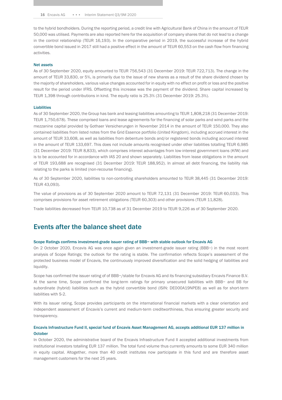to the hybrid bondholders. During the reporting period, a credit line with Agricultural Bank of China in the amount of TEUR 50,000 was utilised. Payments are also reported here for the acquisition of company shares that do not lead to a change in the control relationship (TEUR 16,193). In the comparative period in 2019, the successful increase of the hybrid convertible bond issued in 2017 still had a positive effect in the amount of TEUR 60,553 on the cash flow from financing activities.

#### Net assets

As of 30 September 2020, equity amounted to TEUR 756,543 (31 December 2019: TEUR 722,713). The change in the amount of TEUR 33,830, or 5%, is primarily due to the issue of new shares as a result of the share dividend chosen by the majority of shareholders, various value changes accounted for in equity with no effect on profit or loss and the positive result for the period under IFRS. Offsetting this increase was the payment of the dividend. Share capital increased by TEUR 1,398 through contributions in kind. The equity ratio is 25.3% (31 December 2019: 25.3%).

#### **Liabilities**

As of 30 September 2020, the Group has bank and leasing liabilities amounting to TEUR 1,808,218 (31 December 2019: TEUR 1,750,678). These comprised loans and lease agreements for the financing of solar parks and wind parks and the mezzanine capital provided by Gothaer Versicherungen in November 2014 in the amount of TEUR 150,000. They also contained liabilities from listed notes from the Grid Essence portfolio (United Kingdom), including accrued interest in the amount of TEUR 33,608, as well as liabilities from debenture bonds and/or registered bonds including accrued interest in the amount of TEUR 133,697. This does not include amounts recognised under other liabilities totalling TEUR 6,985 (31 December 2019: TEUR 8,833), which comprises interest advantages from low-interest government loans (KfW) and is to be accounted for in accordance with IAS 20 and shown separately. Liabilities from lease obligations in the amount of TEUR 193,688 are recognised (31 December 2019: TEUR 188,952). In almost all debt financing, the liability risk relating to the parks is limited (non-recourse financing).

As of 30 September 2020, liabilities to non-controlling shareholders amounted to TEUR 38,445 (31 December 2019: TEUR 43,093).

The value of provisions as of 30 September 2020 amount to TEUR 72,131 (31 December 2019: TEUR 60,033). This comprises provisions for asset retirement obligations (TEUR 60,303) and other provisions (TEUR 11,828).

Trade liabilities decreased from TEUR 10,738 as of 31 December 2019 to TEUR 9,226 as of 30 September 2020.

## Events after the balance sheet date

#### Scope Ratings confirms investment-grade issuer rating of BBB− with stable outlook for Encavis AG

On 2 October 2020, Encavis AG was once again given an investment-grade issuer rating (BBB−) in the most recent analysis of Scope Ratings; the outlook for the rating is stable. The confirmation reflects Scope's assessment of the protected business model of Encavis, the continuously improved diversification and the solid hedging of liabilities and liquidity.

Scope has confirmed the issuer rating of of BBB−/stable for Encavis AG and its financing subsidiary Encavis Finance B.V. At the same time, Scope confirmed the long-term ratings for primary unsecured liabilities with BBB− and BB for subordinate (hybrid) liabilities such as the hybrid convertible bond (ISIN: DE000A19NPE8) as well as for short-term liabilities with S-2.

With its issuer rating, Scope provides participants on the international financial markets with a clear orientation and independent assessment of Encavis's current and medium-term creditworthiness, thus ensuring greater security and transparency.

#### Encavis Infrastructure Fund II, special fund of Encavis Asset Management AG, accepts additional EUR 137 million in **October**

In October 2020, the administrative board of the Encavis Infrastructure Fund II accepted additional investments from institutional investors totalling EUR 137 million. The total fund volume thus currently amounts to some EUR 340 million in equity capital. Altogether, more than 40 credit institutes now participate in this fund and are therefore asset management customers for the next 25 years.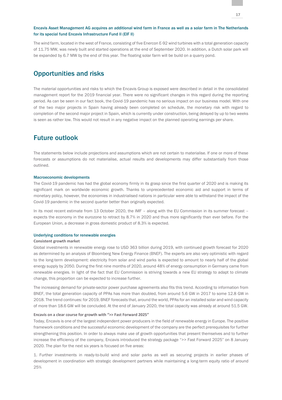#### Encavis Asset Management AG acquires an additional wind farm in France as well as a solar farm in The Netherlands for its special fund Encavis Infrastructure Fund II (EIF II)

The wind farm, located in the west of France, consisting of five Enercon E-92 wind turbines with a total generation capacity of 11.75 MW, was newly built and started operations at the end of September 2020. In addition, a Dutch solar park will be expanded by 6.7 MW by the end of this year. The floating solar farm will be build on a quarry pond.

# Opportunities and risks

The material opportunities and risks to which the Encavis Group is exposed were described in detail in the consolidated management report for the 2019 financial year. There were no significant changes in this regard during the reporting period. As can be seen in our fact book, the Covid-19 pandemic has no serious impact on our business model. With one of the two major projects in Spain having already been completed on schedule, the monetary risk with regard to completion of the second major project in Spain, which is currently under construction, being delayed by up to two weeks is seen as rather low. This would not result in any negative impact on the planned operating earnings per share.

# Future outlook

The statements below include projections and assumptions which are not certain to materialise. If one or more of these forecasts or assumptions do not materialise, actual results and developments may differ substantially from those outlined.

#### Macroeconomic developments

The Covid-19 pandemic has had the global economy firmly in its grasp since the first quarter of 2020 and is making its significant mark on worldwide economic growth. Thanks to unprecedented economic aid and support in terms of monetary policy, however, the economies in industrialised nations in particular were able to withstand the impact of the Covid-19 pandemic in the second quarter better than originally expected.

In its most recent estimate from 13 October 2020, the IMF - along with the EU Commission in its summer forecast expects the economy in the eurozone to retract by 8.7% in 2020 and thus more significantly than ever before. For the European Union, a decrease in gross domestic product of 8.3% is expected.

#### Underlying conditions for renewable energies

#### **Consistent growth market**

Global investments in renewable energy rose to USD 363 billion during 2019, with continued growth forecast for 2020 as determined by an analysis of Bloomberg New Energy Finance (BNEF). The experts are also very optimistic with regard to the long-term development: electricity from solar and wind parks is expected to amount to nearly half of the global energy supply by 2050. During the first nine months of 2020, around 48% of energy consumption in Germany came from renewable energies. In light of the fact that EU Commission is striving towards a new EU strategy to adapt to climate change, this proportion can be expected to increase further.

The increasing demand for private-sector power purchase agreements also fits this trend. According to information from BNEF, the total generation capacity of PPAs has more than doubled, from around 5.6 GW in 2017 to some 12.8 GW in 2018. The trend continues: for 2019, BNEF forecasts that, around the world, PPAs for an installed solar and wind capacity of more than 18.6 GW will be concluded. At the end of January 2020, the total capacity was already at around 51.5 GW.

#### **Encavis on a clear course for growth with ">> Fast Forward 2025"**

Today, Encavis is one of the largest independent power producers in the field of renewable energy in Europe. The positive framework conditions and the successful economic development of the company are the perfect prerequisites for further strengthening this position. In order to always make use of growth opportunities that present themselves and to further increase the efficiency of the company, Encavis introduced the strategy package ">> Fast Forward 2025" on 8 January 2020. The plan for the next six years is focused on five areas:

1. Further investments in ready-to-build wind and solar parks as well as securing projects in earlier phases of development in coordination with strategic development partners while maintaining a long-term equity ratio of around 25%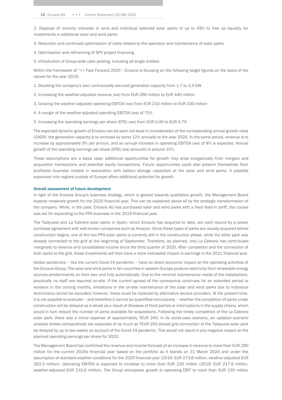2. Disposal of minority interests in wind and individual selected solar parks of up to 49% to free up liquidity for investments in additional solar and wind parks

3. Reduction and continued optimisation of costs related to the operation and maintenance of solar parks

4. Optimisation and refinancing of SPV project financing

5. Introduction of Group-wide cash pooling, including all single entities

Within the framework of ">> Fast Forward 2025", Encavis is focusing on the following target figures on the basis of the values for the year 2019:

1. Doubling the company's own contractually secured generation capacity from 1.7 to 3.4 GW

- 2. Increasing the weather-adjusted revenue (wa) from EUR 260 million to EUR 440 million
- 3. Growing the weather-adjusted operating EBITDA (wa) from EUR 210 million to EUR 330 million
- 4. A margin of the weather-adjusted operating EBITDA (wa) of 75%
- 5. Increasing the operating earnings per share (EPS) (wa) from EUR 0.40 to EUR 0.70

The expected dynamic growth of Encavis can be seen not least in consideration of the corresponding annual growth rates (CAGR): the generation capacity is to increase by some 12% annually to the year 2025. In the same period, revenue is to increase by approximately 9% per annum, and an annual increase in operating EBITDA (wa) of 8% is expected. Annual growth of the operating earnings per share (EPS) (wa) amounts to around 10%.

These assumptions are a basis case; additional opportunities for growth may arise inorganically from mergers and acquisition transactions and potential equity transactions. Future opportunities could also present themselves from profitable business models in association with battery storage capacities at the solar and wind parks. A possible expansion into regions outside of Europe offers additional potential for growth.

#### Overall assessment of future development

In light of the Encavis Group's business strategy, which is geared towards qualitative growth, the Management Board expects moderate growth for the 2020 financial year. This can be explained above all by the strategic transformation of the company. While, in the past, Encavis AG has purchased solar and wind parks with a fixed feed-in tariff, the course was set for expanding to the PPA business in the 2019 financial year.

The Talayuela and La Cabrera solar parks in Spain, which Encavis has acquired to date, are each bound by a power purchase agreement with well-known companies such as Amazon. Since these types of parks are usually acquired before construction begins, one of the two PPA solar parks is currently still in the construction phase, while the other park was already connected to the grid at the beginning of September. Therefore, as planned, only La Cabrera has contributed marginally to revenue and consolidated income since the third quarter of 2020. After completion and the connection of both parks to the grid, these investments will then have a more noticeable impact in earnings in the 2021 financial year.

Global pandemics – like the current Covid-19 pandemic – have no direct economic impact on the operating activities of the Encavis Group. The solar and wind parks in ten countries in western Europe produce electricity from renewable energy sources predominantly on their own and fully automatically. Due to the minimal maintenance needs of the installations, practically no staff are required on-site. If the current spread of the coronavirus continues for an extended period or worsens in the coming months, limitations in the on-site maintenance of the solar and wind parks due to individual technicians cannot be excluded; however, these could be replaced by alternative service providers. At the present time, it is not possible to evaluate – and therefore it cannot be quantified conclusively – whether the completion of parks under construction will be delayed as a whole as a result of illnesses of third parties or interruptions in the supply chains, which would in turn reduce the number of parks available for acquisitions. Following the timely completion of the La Cabrera solar park, there was a minor expense of approximately TEUR 240. In its worst-case scenario, an updated scenario analysis shows comparatively low expenses of as much as TEUR 250 should grid connection of the Talayuela solar park be delayed by up to two weeks on account of the Covid-19 pandemic. This would not result in any negative impact on the planned operating earnings per share for 2020.

The Management Board has confirmed the revenue and income forecast of an increase in revenue to more than EUR 280 million for the current 2020e financial year based on the portfolio as it stands on 31 March 2020 and under the assumption of standard weather conditions for the 2020 financial year (2019: EUR 273.8 million, weather-adjusted EUR 263.3 million). Operating EBITDA is expected to increase to more than EUR 220 million (2019: EUR 217.6 million, weather-adjusted EUR 210.6 million). The Group anticipates growth in operating EBIT to more than EUR 130 million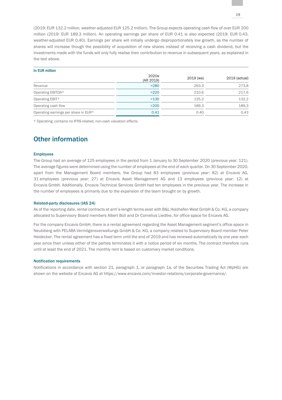(2019: EUR 132.2 million, weather-adjusted EUR 125.2 million). The Group expects operating cash flow of over EUR 200 million (2019: EUR 189.3 million). An operating earnings per share of EUR 0.41 is also expected (2019: EUR 0.43, weather-adjusted EUR 0.40). Earnings per share will initially undergo disproportionately low growth, as the number of shares will increase though the possibility of acquisition of new shares instead of receiving a cash dividend, but the investments made with the funds will only fully realise their contribution to revenue in subsequent years, as explained in the text above.

#### In EUR million

|                                      | 2020e<br>(AR 2019) | $2019$ (wa) | 2019 (actual) |
|--------------------------------------|--------------------|-------------|---------------|
| Revenue                              | >280               | 263.3       | 273,8         |
| Operating EBITDA*                    | >220               | 210.6       | 217,6         |
| Operating EBIT*                      | >130               | 125.2       | 132,2         |
| Operating cash flow                  | >200               | 189.3       | 189,3         |
| Operating earnings per share in EUR* | 0.41               | 0.40        | 0.43          |

\* Operating; contains no IFRS-related, non-cash valuation effects.

# Other information

#### Employees

The Group had an average of 125 employees in the period from 1 January to 30 September 2020 (previous year: 121). The average figures were determined using the number of employees at the end of each quarter. On 30 September 2020, apart from the Management Board members, the Group had 83 employees (previous year: 82) at Encavis AG, 31 employees (previous year: 27) at Encavis Asset Management AG and 13 employees (previous year: 12) at Encavis GmbH. Additionally, Encavis Technical Services GmbH had ten employees in the previous year. The increase in the number of employees is primarily due to the expansion of the team brought on by growth.

#### Related-party disclosures (IAS 24)

As of the reporting date, rental contracts at arm's-length terms exist with B&L Holzhafen West GmbH & Co. KG, a company allocated to Supervisory Board members Albert Büll and Dr Cornelius Liedtke, for office space for Encavis AG.

For the company Encavis GmbH, there is a rental agreement regarding the Asset Management segment's office space in Neubiberg with PELABA Vermögensverwaltungs GmbH & Co. KG, a company related to Supervisory Board member Peter Heidecker. The rental agreement has a fixed term until the end of 2019 and has renewed automatically by one year each year since then unless either of the parties terminates it with a notice period of six months. The contract therefore runs until at least the end of 2021. The monthly rent is based on customary market conditions.

#### Notification requirements

Notifications in accordance with section 21, paragraph 1, or paragraph 1a, of the Securities Trading Act (WpHG) are shown on the website of Encavis AG at https://www.encavis.com/investor-relations/corporate-governance/.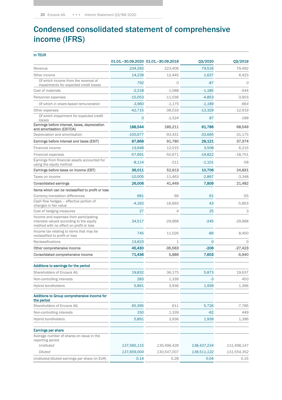# Condensed consolidated statement of comprehensive income (IFRS)

| in TEUR                                                                                                                       |             |                                     |             |             |
|-------------------------------------------------------------------------------------------------------------------------------|-------------|-------------------------------------|-------------|-------------|
|                                                                                                                               |             | 01.01.-30.09.2020 01.01.-30.09.2019 | Q3/2020     | Q3/2019     |
| Revenue                                                                                                                       | 234,292     | 223,406                             | 79,516      | 79,492      |
| Other income                                                                                                                  | 14,239      | 12,445                              | 1,637       | 6,423       |
| Of which income from the reversal of<br>impairments for expected credit losses                                                | 792         | 0                                   | $-87$       | 0           |
| Cost of materials                                                                                                             | $-2,218$    | $-1,588$                            | $-1,185$    | $-544$      |
| Personnel expenses                                                                                                            | $-15,053$   | $-11,036$                           | $-4,853$    | $-3,903$    |
| Of which in share-based remuneration                                                                                          | $-3,960$    | $-1,175$                            | $-1,189$    | $-664$      |
| Other expenses                                                                                                                | $-42,715$   | $-38,016$                           | $-13,329$   | $-12,919$   |
| Of which impairment for expected credit<br>losses                                                                             | 0           | $-1,524$                            | 87          | $-188$      |
| Earnings before interest, taxes, depreciation<br>and amortisation (EBITDA)                                                    | 188,544     | 185,211                             | 61,786      | 68,549      |
| Depreciation and amortisation                                                                                                 | $-100,677$  | $-93,431$                           | $-33,665$   | $-31,175$   |
| Earnings before interest and taxes (EBIT)                                                                                     | 87,868      | 91,780                              | 28,121      | 37,374      |
| Financial income                                                                                                              | 13,948      | 12,015                              | 3,508       | 6,215       |
| Financial expenses                                                                                                            | $-57,691$   | $-50,671$                           | $-19,822$   | $-18,701$   |
| Earnings from financial assets accounted for<br>using the equity method                                                       | $-8,114$    | $-211$                              | $-1,101$    | $-58$       |
| Earnings before taxes on income (EBT)                                                                                         | 36,011      | 52,913                              | 10,706      | 24,831      |
| Taxes on income                                                                                                               | $-10,005$   | $-11,463$                           | $-2,897$    | $-3,348$    |
| <b>Consolidated earnings</b>                                                                                                  | 26,006      | 41,449                              | 7,809       | 21,482      |
| Items which can be reclassified to profit or loss                                                                             |             |                                     |             |             |
| Currency translation differences                                                                                              | 681         | 66                                  | 61          | $-55$       |
| Cash flow hedges - effective portion of<br>changes in fair value                                                              | $-4,162$    | $-16,693$                           | 43          | $-5,853$    |
| Cost of hedging measures                                                                                                      | 27          | 4                                   | 25          | 3           |
| Income and expenses from participating<br>interests valued according to the equity<br>method with no effect on profit or loss | 34,517      | $-29,968$                           | $-245$      | $-29,968$   |
| Income tax relating to items that may be<br>reclassified to profit or loss                                                    | 745         | 11,026                              | $-89$       | 8,450       |
| Reclassifications                                                                                                             | 13,623      | 1                                   | $\Omega$    | $\Omega$    |
| Other comprehensive income                                                                                                    | 45,430      | $-35,563$                           | $-206$      | $-27,423$   |
| Consolidated comprehensive income                                                                                             | 71,436      | 5,886                               | 7,603       | $-5,940$    |
| Additions to earnings for the period                                                                                          |             |                                     |             |             |
| Shareholders of Encavis AG                                                                                                    | 19,832      | 36,175                              | 5,873       | 19,637      |
| Non-controlling interests                                                                                                     | 283         | 1,339                               | -3          | 450         |
| Hybrid bondholders                                                                                                            | 5,891       | 3,936                               | 1,939       | 1,396       |
| Additions to Group comprehensive income for<br>the period                                                                     |             |                                     |             |             |
| Shareholders of Encavis AG                                                                                                    | 65,395      | 611                                 | 5,726       | $-7,785$    |
| Non-controlling interests                                                                                                     | 150         | 1,339                               | $-62$       | 449         |
| Hybrid bondholders                                                                                                            | 5,891       | 3,936                               | 1,939       | 1,396       |
| Earnings per share                                                                                                            |             |                                     |             |             |
| Average number of shares on issue in the<br>reporting period                                                                  |             |                                     |             |             |
| <b>Undiluted</b>                                                                                                              | 137,585,115 | 130,496,426                         | 138,437,234 | 131,498,147 |
| Diluted                                                                                                                       | 137,659,004 | 130,547,007                         | 138,511,122 | 131,554,352 |
| Undiluted/diluted earnings per share (in EUR)                                                                                 | 0.14        | 0.28                                | 0.04        | 0.15        |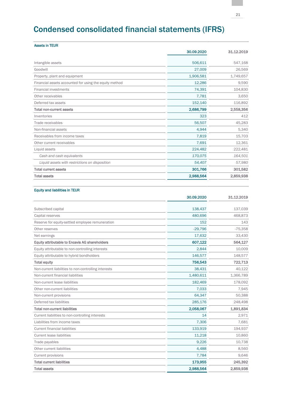# Condensed consolidated financial statements (IFRS)

| <b>Assets in TEUR</b>                                  |            |            |
|--------------------------------------------------------|------------|------------|
|                                                        | 30.09.2020 | 31.12.2019 |
| Intangible assets                                      | 506,611    | 547,168    |
| Goodwill                                               | 27,009     | 26,569     |
| Property, plant and equipment                          | 1,906,581  | 1,749,657  |
| Financial assets accounted for using the equity method | 12,286     | 9,590      |
| <b>Financial investments</b>                           | 74,391     | 104,830    |
| Other receivables                                      | 7,781      | 3,650      |
| Deferred tax assets                                    | 152,140    | 116,892    |
| <b>Total non-current assets</b>                        | 2,686,799  | 2,558,356  |
| Inventories                                            | 323        | 412        |
| Trade receivables                                      | 56,507     | 45,283     |
| Non-financial assets                                   | 4,944      | 5,340      |
| Receivables from income taxes                          | 7,819      | 15,703     |
| Other current receivables                              | 7,691      | 12,361     |
| Liquid assets                                          | 224,482    | 222,481    |
| Cash and cash equivalents                              | 170,075    | 164,501    |
| Liquid assets with restrictions on disposition         | 54,407     | 57,980     |
| <b>Total current assets</b>                            | 301,766    | 301,582    |
| <b>Total assets</b>                                    | 2,988,564  | 2,859,938  |

#### Equity and liabilities in TEUR

|                                                      | 30.09.2020 | 31.12.2019 |
|------------------------------------------------------|------------|------------|
| Subscribed capital                                   | 138,437    | 137,039    |
| Capital reserves                                     | 480,696    | 468,873    |
| Reserve for equity-settled employee remuneration     | 152        | 143        |
| Other reserves                                       | $-29,796$  | $-75,358$  |
| Net earnings                                         | 17,632     | 33,430     |
| Equity attributable to Encavis AG shareholders       | 607,122    | 564,127    |
| Equity attributable to non-controlling interests     | 2,844      | 10,009     |
| Equity attributable to hybrid bondholders            | 146,577    | 148,577    |
| <b>Total equity</b>                                  | 756,543    | 722,713    |
| Non-current liabilities to non-controlling interests | 38,431     | 40,122     |
| Non-current financial liabilities                    | 1,480,611  | 1,366,789  |
| Non-current lease liabilities                        | 182,469    | 178,092    |
| Other non-current liabilities                        | 7.033      | 7,945      |
| Non-current provisions                               | 64,347     | 50,388     |
| Deferred tax liabilities                             | 285,176    | 248,498    |
| <b>Total non-current liabilities</b>                 | 2,058,067  | 1,891,834  |
| Current liabilities to non-controlling interests     | 14         | 2,971      |
| Liabilities from income taxes                        | 7,306      | 7,681      |
| <b>Current financial liabilities</b>                 | 133,919    | 194,937    |
| <b>Current lease liabilities</b>                     | 11,218     | 10,860     |
| Trade payables                                       | 9,226      | 10,738     |
| Other current liabilities                            | 4,488      | 8,560      |
| Current provisions                                   | 7,784      | 9,646      |
| <b>Total current liabilities</b>                     | 173,955    | 245,392    |
| <b>Total assets</b>                                  | 2,988,564  | 2,859,938  |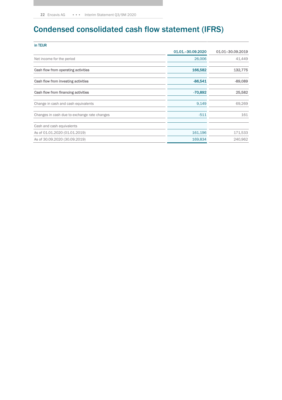# Condensed consolidated cash flow statement (IFRS)

| 01.01. - 30.09.2020 | 01.01-30.09.2019 |
|---------------------|------------------|
| 26,006              | 41,449           |
| 166,582             | 132,775          |
| $-86,541$           | $-89,089$        |
| $-70,892$           | 25,582           |
| 9.149               | 69,269           |
| $-511$              | 161              |
|                     |                  |
| 161,196             | 171,533          |
| 169,834             | 240,962          |
|                     |                  |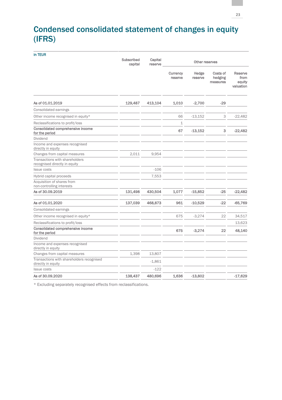# Condensed consolidated statement of changes in equity (IFRS)

| in TEUR                                                         |                       |                    |                     |                  |                                 |                                        |
|-----------------------------------------------------------------|-----------------------|--------------------|---------------------|------------------|---------------------------------|----------------------------------------|
|                                                                 | Subscribed<br>capital | Capital<br>reserve |                     | Other reserves   |                                 |                                        |
|                                                                 |                       |                    | Currency<br>reserve | Hedge<br>reserve | Costs of<br>hedging<br>measures | Reserve<br>from<br>equity<br>valuation |
| As of 01.01.2019                                                | 129,487               | 413,104            | 1,010               | $-2,700$         | $-29$                           |                                        |
| Consolidated earnings                                           |                       |                    |                     |                  |                                 |                                        |
| Other income recognised in equity*                              |                       |                    | 66                  | $-13,152$        | 3                               | $-22,482$                              |
| Reclassifications to profit/loss                                |                       |                    | $\mathbf 1$         |                  |                                 |                                        |
| Consolidated comprehensive income<br>for the period             |                       |                    | 67                  | $-13,152$        | 3                               | $-22,482$                              |
| Dividend                                                        |                       |                    |                     |                  |                                 |                                        |
| Income and expenses recognised<br>directly in equity            |                       |                    |                     |                  |                                 |                                        |
| Changes from capital measures                                   | 2,011                 | 9,954              |                     |                  |                                 |                                        |
| Transactions with shareholders<br>recognised directly in equity |                       |                    |                     |                  |                                 |                                        |
| <b>Issue costs</b>                                              |                       | $-106$             |                     |                  |                                 |                                        |
| Hybrid capital proceeds                                         |                       | 7,553              |                     |                  |                                 |                                        |
| Acquisition of shares from<br>non-controlling interests         |                       |                    |                     |                  |                                 |                                        |
| As of 30.09.2019                                                | 131,498               | 430,504            | 1,077               | $-15,852$        | $-25$                           | $-22,482$                              |
| As of 01.01.2020                                                | 137,039               | 468,873            | 961                 | $-10,529$        | $-22$                           | -65,769                                |
| Consolidated earnings                                           |                       |                    |                     |                  |                                 |                                        |
| Other income recognised in equity*                              |                       |                    | 675                 | $-3,274$         | 22                              | 34,517                                 |
| Reclassifications to profit/loss                                |                       |                    |                     |                  |                                 | 13,623                                 |
| Consolidated comprehensive income<br>for the period             |                       |                    | 675                 | $-3,274$         | 22                              | 48,140                                 |
| Dividend                                                        |                       |                    |                     |                  |                                 |                                        |
| Income and expenses recognised<br>directly in equity            |                       |                    |                     |                  |                                 |                                        |
| Changes from capital measures                                   | 1,398                 | 13,807             |                     |                  |                                 |                                        |
| Transactions with shareholders recognised<br>directly in equity |                       | $-1,861$           |                     |                  |                                 |                                        |
| <b>Issue costs</b>                                              |                       | $-122$             |                     |                  |                                 |                                        |
| As of 30.09.2020                                                | 138,437               | 480,696            | 1,636               | $-13,802$        |                                 | $-17,629$                              |

\* Excluding separately recognised effects from reclassifications.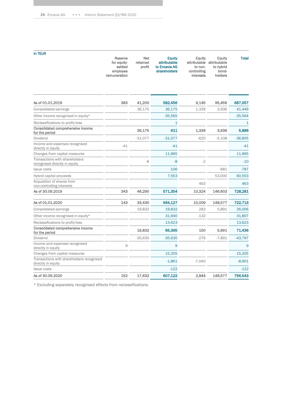| in TEUR                                                         | Reserve<br>for equity-<br>settled<br>employee<br>remuneration | Net<br>retained<br>profit | <b>Equity</b><br>attributable<br>to Encavis AG<br>shareholders | Equity<br>to non-<br>controlling<br><b>interests</b> | Equity<br>attributable attributable<br>to hybrid<br>bond-<br>holders | <b>Total</b> |
|-----------------------------------------------------------------|---------------------------------------------------------------|---------------------------|----------------------------------------------------------------|------------------------------------------------------|----------------------------------------------------------------------|--------------|
| As of 01.01.2019                                                | 383                                                           | 41,200                    | 582,456                                                        | 9,145                                                | 95,456                                                               | 687,057      |
| Consolidated earnings                                           |                                                               | 36,175                    | 36,175                                                         | 1,339                                                | 3,936                                                                | 41,449       |
| Other income recognised in equity*                              |                                                               |                           | $-35,565$                                                      |                                                      |                                                                      | $-35,564$    |
| Reclassifications to profit/loss                                |                                                               |                           | 1                                                              |                                                      |                                                                      | 1            |
| Consolidated comprehensive income<br>for the period             |                                                               | 36,175                    | 611                                                            | 1,339                                                | 3,936                                                                | 5,886        |
| Dividend                                                        |                                                               | $-31,077$                 | $-31,077$                                                      | $-620$                                               | $-5,108$                                                             | $-36,805$    |
| Income and expenses recognised<br>directly in equity            | $-41$                                                         |                           | $-41$                                                          |                                                      |                                                                      | $-41$        |
| Changes from capital measures                                   |                                                               |                           | 11,965                                                         |                                                      |                                                                      | 11,965       |
| Transactions with shareholders<br>recognised directly in equity |                                                               | -8                        | -8                                                             | $-2$                                                 |                                                                      | $-10$        |
| <b>Issue costs</b>                                              |                                                               |                           | $-106$                                                         |                                                      | $-681$                                                               | $-787$       |
| Hybrid capital proceeds                                         |                                                               |                           | 7,553                                                          |                                                      | 53,000                                                               | 60,553       |
| Acquisition of shares from<br>non-controlling interests         |                                                               |                           |                                                                | 463                                                  |                                                                      | 463          |
| As of 30.09.2019                                                | 343                                                           | 46,290                    | 571,354                                                        | 10,324                                               | 146,603                                                              | 728,281      |
| As of 01.01.2020                                                | 143                                                           | 33,430                    | 564,127                                                        | 10,009                                               | 148,577                                                              | 722,713      |
| Consolidated earnings                                           |                                                               | 19,832                    | 19,832                                                         | 283                                                  | 5,891                                                                | 26,006       |
| Other income recognised in equity*                              |                                                               |                           | 31,940                                                         | $-132$                                               |                                                                      | 31,807       |
| Reclassifications to profit/loss                                |                                                               |                           | 13,623                                                         |                                                      |                                                                      | 13,623       |
| <b>Consolidated comprehensive income</b><br>for the period      |                                                               | 19,832                    | 65,395                                                         | 150                                                  | 5,891                                                                | 71,436       |
| Dividend                                                        |                                                               | $-35,630$                 | $-35,630$                                                      | $-276$                                               | $-7,891$                                                             | $-43,797$    |
| Income and expenses recognised<br>directly in equity            | $\mathcal{G}% _{0}$                                           |                           | 9                                                              |                                                      |                                                                      | 9            |
| Changes from capital measures                                   |                                                               |                           | 15,205                                                         |                                                      |                                                                      | 15,205       |
| Transactions with shareholders recognised<br>directly in equity |                                                               |                           | $-1,861$                                                       | $-7,040$                                             |                                                                      | $-8,901$     |
| <b>Issue costs</b>                                              |                                                               |                           | $-122$                                                         |                                                      |                                                                      | $-122$       |
| As of 30.09.2020                                                | 152                                                           | 17,632                    | 607,122                                                        | 2,844                                                | 146,577                                                              | 756,543      |

\* Excluding separately recognised effects from reclassifications.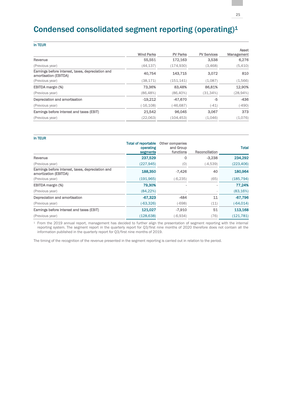# Condensed consolidated segment reporting (operating)<sup>1</sup>

|  | ۰, |  |
|--|----|--|

|                                                                            |                   |                 |                    | Asset      |
|----------------------------------------------------------------------------|-------------------|-----------------|--------------------|------------|
|                                                                            | <b>Wind Parks</b> | <b>PV Parks</b> | <b>PV Services</b> | Management |
| Revenue                                                                    | 55,551            | 172,163         | 3,538              | 6,276      |
| (Previous year)                                                            | (44, 137)         | (174, 930)      | (3,468)            | (5,410)    |
| Earnings before interest, taxes, depreciation and<br>amortisation (EBITDA) | 40.754            | 143.715         | 3,072              | 810        |
| (Previous year)                                                            | (38, 171)         | (151, 141)      | (1,087)            | (1,566)    |
| EBITDA margin (%)                                                          | 73,36%            | 83.48%          | 86,81%             | 12,90%     |
| (Previous year)                                                            | (86,48%)          | $(86, 40\%)$    | (31, 34%)          | (28,94%)   |
| Depreciation and amortisation                                              | $-19.212$         | -47,670         | -5                 | $-436$     |
| (Previous year)                                                            | $(-16, 108)$      | (-46,687)       | $(-41)$            | $(-490)$   |
| Earnings before interest and taxes (EBIT)                                  | 21,542            | 96.045          | 3,067              | 373        |
| (Previous year)                                                            | (22,063)          | (104, 453)      | (1,046)            | (1,076)    |

| <b>Total of reportable</b><br>operating<br>segments | Other companies<br>and Group<br>functions | Reconciliation | <b>Total</b> |
|-----------------------------------------------------|-------------------------------------------|----------------|--------------|
| 237,529                                             | 0                                         | $-3,238$       | 234,292      |
| (227, 945)                                          | (0)                                       | $(-4,539)$     | (223, 406)   |
| 188,350                                             | $-7,426$                                  | 40             | 180,964      |
| (191, 965)                                          | $(-6, 235)$                               | (65)           | (185, 794)   |
| 79.30%                                              |                                           |                | 77.24%       |
| (84, 22%)                                           |                                           |                | (83, 16%)    |
| $-67,323$                                           | $-484$                                    | 11             | $-67,796$    |
| $(-63,326)$                                         | $(-698)$                                  | (11)           | $(-64, 014)$ |
| 121,027                                             | $-7.910$                                  | 51             | 113,168      |
| (128, 638)                                          | $(-6,934)$                                | (76)           | (121, 781)   |
|                                                     |                                           |                |              |

<sup>1</sup> From the 2019 annual report, management has decided to further align the presentation of segment reporting with the internal reporting system. The segment report in the quarterly report for Q3/first nine months of 2020 therefore does not contain all the information published in the quarterly report for Q3/first nine months of 2019.

The timing of the recognition of the revenue presented in the segment reporting is carried out in relation to the period.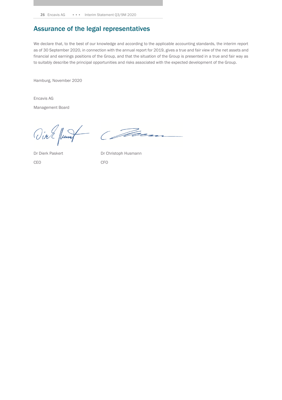# Assurance of the legal representatives

We declare that, to the best of our knowledge and according to the applicable accounting standards, the interim report as of 30 September 2020, in connection with the annual report for 2019, gives a true and fair view of the net assets and financial and earnings positions of the Group, and that the situation of the Group is presented in a true and fair way as to suitably describe the principal opportunities and risks associated with the expected development of the Group.

Hamburg, November 2020

Encavis AG

Management Board

Vial June Com

CEO CFO

Dr Dierk Paskert Dr Christoph Husmann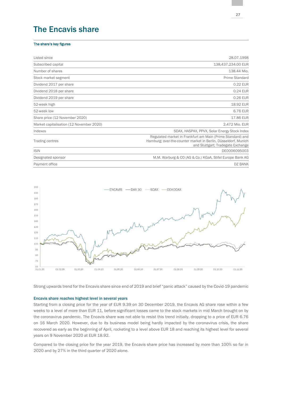# The Encavis share

#### The share's key figures

| Listed since                             | 28.07.1998                                                                                                                                                        |
|------------------------------------------|-------------------------------------------------------------------------------------------------------------------------------------------------------------------|
| Subscribed capital                       | 138,437,234.00 EUR                                                                                                                                                |
| Number of shares                         | 138.44 Mio.                                                                                                                                                       |
| Stock market segment                     | Prime Standard                                                                                                                                                    |
| Dividend 2017 per share                  | 0.22 EUR                                                                                                                                                          |
| Dividend 2018 per share                  | 0.24 EUR                                                                                                                                                          |
| Dividend 2019 per share                  | 0.26 EUR                                                                                                                                                          |
| 52-week high                             | 18.92 EUR                                                                                                                                                         |
| 52-week low                              | 6.76 EUR                                                                                                                                                          |
| Share price (12 November 2020)           | 17.86 EUR                                                                                                                                                         |
| Market capitalisation (12 November 2020) | 2,472 Mio. EUR                                                                                                                                                    |
| Indexes                                  | SDAX, HASPAX, PPVX, Solar Energy Stock Index                                                                                                                      |
| Trading centres                          | Regulated market in Frankfurt am Main (Prime Standard) and<br>Hamburg; over-the-counter market in Berlin, Düsseldorf, Munich<br>and Stuttgart; Tradegate Exchange |
| <b>ISIN</b>                              | DE0006095003                                                                                                                                                      |
| Designated sponsor                       | M.M. Warburg & CO (AG & Co.) KGaA, Stifel Europe Bank AG                                                                                                          |
| Payment office                           | DZ BANK                                                                                                                                                           |



Strong upwards trend for the Encavis share since end of 2019 and brief "panic attack" caused by the Covid-19 pandemic

#### Encavis share reaches highest level in several years

Starting from a closing price for the year of EUR 9.39 on 30 December 2019, the Encavis AG share rose within a few weeks to a level of more than EUR 11, before significant losses came to the stock markets in mid March brought on by the coronavirus pandemic. The Encavis share was not able to resist this trend initially, dropping to a price of EUR 6.76 on 16 March 2020. However, due to its business model being hardly impacted by the coronavirus crisis, the share recovered as early as the beginning of April, rocketing to a level above EUR 18 and reaching its highest level for several years on 9 November 2020 at EUR 18.92.

Compared to the closing price for the year 2019, the Encavis share price has increased by more than 100% so far in 2020 and by 27% in the third quarter of 2020 alone.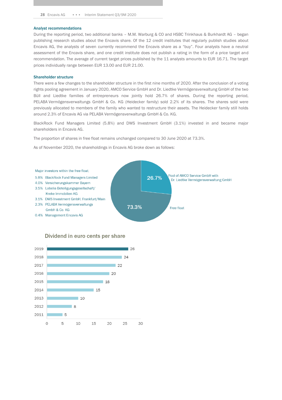#### Analyst recommendations

During the reporting period, two additional banks – M.M. Warburg & CO and HSBC Trinkhaus & Burkhardt AG – began publishing research studies about the Encavis share. Of the 12 credit institutes that regularly publish studies about Encavis AG, the analysts of seven currently recommend the Encavis share as a "buy". Four analysts have a neutral assessment of the Encavis share, and one credit institute does not publish a rating in the form of a price target and recommendation. The average of current target prices published by the 11 analysts amounts to EUR 16.71. The target prices individually range between EUR 13.00 and EUR 21.00.

#### Shareholder structure

There were a few changes to the shareholder structure in the first nine months of 2020. After the conclusion of a voting rights pooling agreement in January 2020, AMCO Service GmbH and Dr. Liedtke Vermögensverwaltung GmbH of the two Büll and Liedtke families of entrepreneurs now jointly hold 26.7% of shares. During the reporting period, PELABA Vermögensverwaltungs GmbH & Co. KG (Heidecker family) sold 2.2% of its shares. The shares sold were previously allocated to members of the family who wanted to restructure their assets. The Heidecker family still holds around 2.3% of Encavis AG via PELABA Vermögensverwaltungs GmbH & Co. KG.

BlackRock Fund Managers Limited (5.8%) and DWS Investment GmbH (3.1%) invested in and became major shareholders in Encavis AG.

The proportion of shares in free float remains unchanged compared to 30 June 2020 at 73.3%.

As of November 2020, the shareholdings in Encavis AG broke down as follows:



#### Dividend in euro cents per share

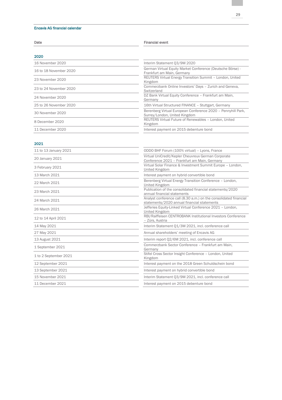#### Encavis AG financial calendar

| Date                   | <b>Financial event</b>                                                                        |  |
|------------------------|-----------------------------------------------------------------------------------------------|--|
| 2020                   |                                                                                               |  |
| 16 November 2020       | Interim Statement Q3/9M 2020                                                                  |  |
| 16 to 18 November 2020 | German Virtual Equity Market Conference (Deutsche Börse) -<br>Frankfurt am Main, Germany      |  |
| 23 November 2020       | <b>REUTERS Virtual Energy Transition Summit - London, United</b><br>Kingdom                   |  |
| 23 to 24 November 2020 | Commerzbank Online Investors' Days - Zurich and Geneva,<br>Switzerland                        |  |
| 24 November 2020       | DZ Bank Virtual Equity Conference - Frankfurt am Main,<br>Germany                             |  |
| 25 to 26 November 2020 | 16th Virtual Structured FINANCE - Stuttgart, Germany                                          |  |
| 30 November 2020       | Berenberg Virtual European Conference 2020 - Pennyhill Park,<br>Surrey/London, United Kingdom |  |
| 8 December 2020        | REUTERS Virtual Future of Renewables - London, United<br>Kingdom                              |  |
| 11 December 2020       | Interest payment on 2015 debenture bond                                                       |  |

#### 2021

| 11 to 13 January 2021 | ODDO BHF Forum (100% virtual) - Lyons, France                                                                    |
|-----------------------|------------------------------------------------------------------------------------------------------------------|
| 20 January 2021       | Virtual UniCredit/Kepler Cheuvreux German Corporate<br>Conference 2021 - Frankfurt am Main, Germany              |
| 3 February 2021       | Virtual Solar Finance & Investment Summit Europe - London,<br>United Kingdom                                     |
| 13 March 2021         | Interest payment on hybrid convertible bond                                                                      |
| 22 March 2021         | Berenberg Virtual Energy Transition Conference - London,<br>United Kingdom                                       |
| 23 March 2021         | Publication of the consolidated financial statements/2020<br>annual financial statements                         |
| 24 March 2021         | Analyst conference call (8.30 a.m.) on the consolidated financial<br>statements/2020 annual financial statements |
| 26 March 2021         | Jefferies Equity-Linked Virtual Conference 2021 - London,<br>United Kingdom                                      |
| 12 to 14 April 2021   | RBI/Raiffeisen CENTROBANK Institutional Investors Conference<br>- Zürs, Austria                                  |
| 14 May 2021           | Interim Statement 01/3M 2021, incl. conference call                                                              |
| 27 May 2021           | Annual shareholders' meeting of Encavis AG                                                                       |
| 13 August 2021        | Interim report Q2/6M 2021, incl. conference call                                                                 |
| 1 September 2021      | Commerzbank Sector Conference - Frankfurt am Main.<br>Germany                                                    |
| 1 to 2 September 2021 | Stifel Cross Sector Insight Conference - London, United<br>Kingdom                                               |
| 12 September 2021     | Interest payment on the 2018 Green Schuldschein bond                                                             |
| 13 September 2021     | Interest payment on hybrid convertible bond                                                                      |
| 15 November 2021      | Interim Statement 03/9M 2021, incl. conference call                                                              |
| 11 December 2021      | Interest payment on 2015 debenture bond                                                                          |
|                       |                                                                                                                  |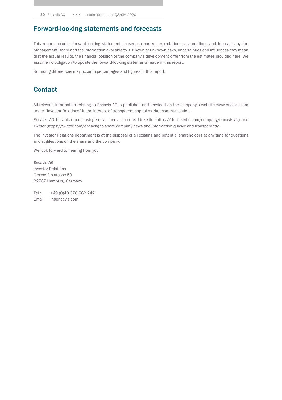# Forward-looking statements and forecasts

This report includes forward-looking statements based on current expectations, assumptions and forecasts by the Management Board and the information available to it. Known or unknown risks, uncertainties and influences may mean that the actual results, the financial position or the company's development differ from the estimates provided here. We assume no obligation to update the forward-looking statements made in this report.

Rounding differences may occur in percentages and figures in this report.

## **Contact**

All relevant information relating to Encavis AG is published and provided on the company's website www.encavis.com under "Investor Relations" in the interest of transparent capital market communication.

Encavis AG has also been using social media such as LinkedIn (https://de.linkedin.com/company/encavis-ag) and Twitter (https://twitter.com/encavis) to share company news and information quickly and transparently.

The Investor Relations department is at the disposal of all existing and potential shareholders at any time for questions and suggestions on the share and the company.

We look forward to hearing from you!

Encavis AG Investor Relations Grosse Elbstrasse 59 22767 Hamburg, Germany

Tel.: +49 (0)40 378 562 242 Email: ir@encavis.com